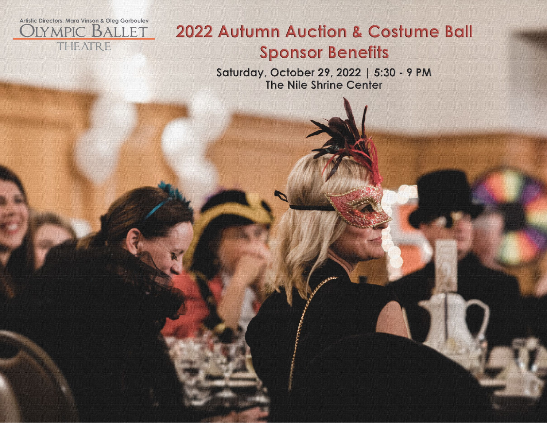

## 2022 Autumn Auction & Costume Ball **Sponsor Benefits**

Saturday, October 29, 2022 | 5:30 - 9 PM<br>The Nile Shrine Center